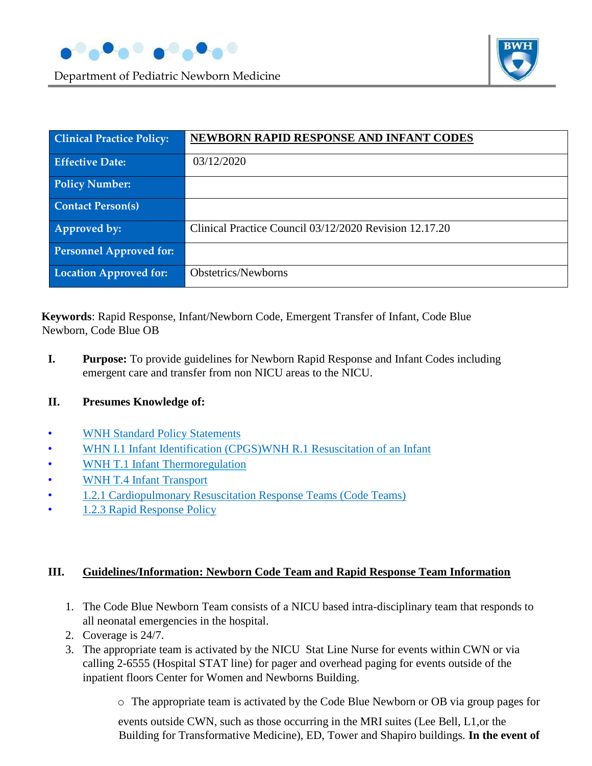





| <b>Clinical Practice Policy:</b> | NEWBORN RAPID RESPONSE AND INFANT CODES                |
|----------------------------------|--------------------------------------------------------|
| <b>Effective Date:</b>           | 03/12/2020                                             |
| <b>Policy Number:</b>            |                                                        |
| <b>Contact Person(s)</b>         |                                                        |
| Approved by:                     | Clinical Practice Council 03/12/2020 Revision 12.17.20 |
| <b>Personnel Approved for:</b>   |                                                        |
| <b>Location Approved for:</b>    | Obstetrics/Newborns                                    |

**Keywords**: Rapid Response, Infant/Newborn Code, Emergent Transfer of Infant, Code Blue Newborn, Code Blue OB

**I. Purpose:** To provide guidelines for Newborn Rapid Response and Infant Codes including emergent care and transfer from non NICU areas to the NICU.

#### **II. Presumes Knowledge of:**

- WNH Standard Policy Statements
- WHN I.1 Infant Identification (CPGS)WNH R.1 Resuscitation of an Infant
- WNH T.1 Infant Thermoregulation
- WNH T.4 Infant Transport
- [1.2.1 Cardiopulmonary Resuscitation Response Teams \(Code Teams\)](https://hospitalpolicies.ellucid.com/documents/view/2504/active/)
- [1.2.3 Rapid Response Policy](https://hospitalpolicies.ellucid.com/documents/view/2506/active/)

#### **III. Guidelines/Information: Newborn Code Team and Rapid Response Team Information**

- 1. The Code Blue Newborn Team consists of a NICU based intra-disciplinary team that responds to all neonatal emergencies in the hospital.
- 2. Coverage is 24/7.
- 3. The appropriate team is activated by the NICU Stat Line Nurse for events within CWN or via calling 2-6555 (Hospital STAT line) for pager and overhead paging for events outside of the inpatient floors Center for Women and Newborns Building.
	- o The appropriate team is activated by the Code Blue Newborn or OB via group pages for

events outside CWN, such as those occurring in the MRI suites (Lee Bell, L1,or the Building for Transformative Medicine), ED, Tower and Shapiro buildings. **In the event of**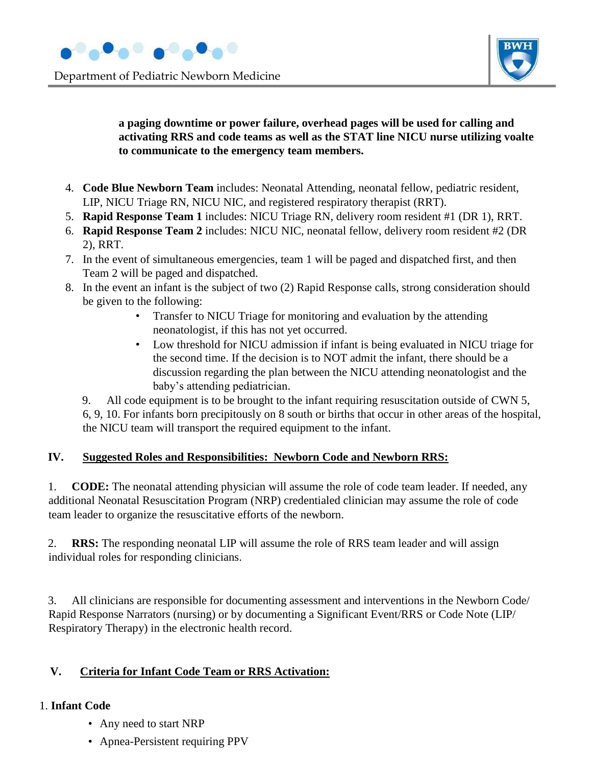



#### **a paging downtime or power failure, overhead pages will be used for calling and activating RRS and code teams as well as the STAT line NICU nurse utilizing voalte to communicate to the emergency team members.**

- 4. **Code Blue Newborn Team** includes: Neonatal Attending, neonatal fellow, pediatric resident, LIP, NICU Triage RN, NICU NIC, and registered respiratory therapist (RRT).
- 5. **Rapid Response Team 1** includes: NICU Triage RN, delivery room resident #1 (DR 1), RRT.
- 6. **Rapid Response Team 2** includes: NICU NIC, neonatal fellow, delivery room resident #2 (DR 2), RRT.
- 7. In the event of simultaneous emergencies, team 1 will be paged and dispatched first, and then Team 2 will be paged and dispatched.
- 8. In the event an infant is the subject of two (2) Rapid Response calls, strong consideration should be given to the following:
	- Transfer to NICU Triage for monitoring and evaluation by the attending neonatologist, if this has not yet occurred.
	- Low threshold for NICU admission if infant is being evaluated in NICU triage for the second time. If the decision is to NOT admit the infant, there should be a discussion regarding the plan between the NICU attending neonatologist and the baby's attending pediatrician.

9. All code equipment is to be brought to the infant requiring resuscitation outside of CWN 5, 6, 9, 10. For infants born precipitously on 8 south or births that occur in other areas of the hospital, the NICU team will transport the required equipment to the infant.

#### **IV. Suggested Roles and Responsibilities: Newborn Code and Newborn RRS:**

1. **CODE:** The neonatal attending physician will assume the role of code team leader. If needed, any additional Neonatal Resuscitation Program (NRP) credentialed clinician may assume the role of code team leader to organize the resuscitative efforts of the newborn.

2. **RRS:** The responding neonatal LIP will assume the role of RRS team leader and will assign individual roles for responding clinicians.

3. All clinicians are responsible for documenting assessment and interventions in the Newborn Code/ Rapid Response Narrators (nursing) or by documenting a Significant Event/RRS or Code Note (LIP/ Respiratory Therapy) in the electronic health record.

#### **V. Criteria for Infant Code Team or RRS Activation:**

#### 1. **Infant Code**

- Any need to start NRP
- Apnea-Persistent requiring PPV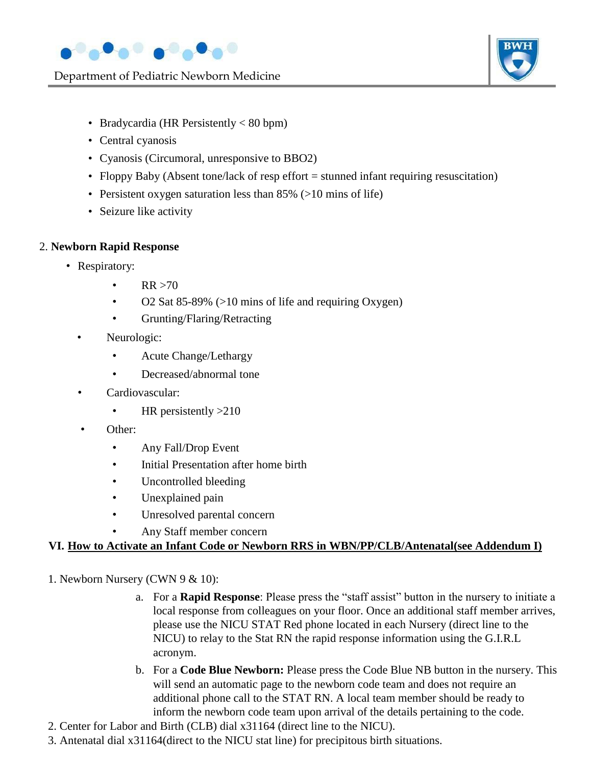

Department of Pediatric Newborn Medicine



- Bradycardia (HR Persistently < 80 bpm)
- Central cyanosis
- Cyanosis (Circumoral, unresponsive to BBO2)
- Floppy Baby (Absent tone/lack of resp effort = stunned infant requiring resuscitation)
- Persistent oxygen saturation less than 85% (>10 mins of life)
- Seizure like activity

#### 2. **Newborn Rapid Response**

- Respiratory:
	- $RR > 70$
	- O2 Sat 85-89% (>10 mins of life and requiring Oxygen)
	- Grunting/Flaring/Retracting
	- Neurologic:
		- Acute Change/Lethargy
		- Decreased/abnormal tone
	- Cardiovascular:
		- HR persistently > 210
	- Other:
		- Any Fall/Drop Event
		- Initial Presentation after home birth
		- Uncontrolled bleeding
		- Unexplained pain
		- Unresolved parental concern
		- Any Staff member concern

#### **VI. How to Activate an Infant Code or Newborn RRS in WBN/PP/CLB/Antenatal(see Addendum I)**

#### 1. Newborn Nursery (CWN 9 & 10):

- a. For a **Rapid Response**: Please press the "staff assist" button in the nursery to initiate a local response from colleagues on your floor. Once an additional staff member arrives, please use the NICU STAT Red phone located in each Nursery (direct line to the NICU) to relay to the Stat RN the rapid response information using the G.I.R.L acronym.
- b. For a **Code Blue Newborn:** Please press the Code Blue NB button in the nursery. This will send an automatic page to the newborn code team and does not require an additional phone call to the STAT RN. A local team member should be ready to inform the newborn code team upon arrival of the details pertaining to the code.
- 2. Center for Labor and Birth (CLB) dial x31164 (direct line to the NICU).
- 3. Antenatal dial x31164(direct to the NICU stat line) for precipitous birth situations.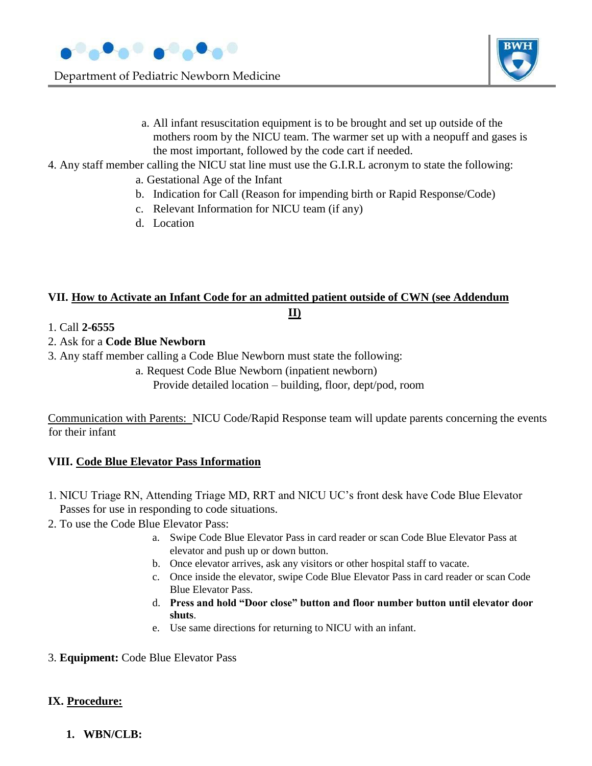

Department of Pediatric Newborn Medicine



- a. All infant resuscitation equipment is to be brought and set up outside of the mothers room by the NICU team. The warmer set up with a neopuff and gases is the most important, followed by the code cart if needed.
- 4. Any staff member calling the NICU stat line must use the G.I.R.L acronym to state the following:
	- a. Gestational Age of the Infant
	- b. Indication for Call (Reason for impending birth or Rapid Response/Code)
	- c. Relevant Information for NICU team (if any)
	- d. Location

#### **VII. How to Activate an Infant Code for an admitted patient outside of CWN (see Addendum II)**

- 1. Call **2-6555**
- 2. Ask for a **Code Blue Newborn**
- 3. Any staff member calling a Code Blue Newborn must state the following:
	- a. Request Code Blue Newborn (inpatient newborn)

Provide detailed location – building, floor, dept/pod, room

Communication with Parents: NICU Code/Rapid Response team will update parents concerning the events for their infant

#### **VIII. Code Blue Elevator Pass Information**

- 1. NICU Triage RN, Attending Triage MD, RRT and NICU UC's front desk have Code Blue Elevator Passes for use in responding to code situations.
- 2. To use the Code Blue Elevator Pass:
	- a. Swipe Code Blue Elevator Pass in card reader or scan Code Blue Elevator Pass at elevator and push up or down button.
	- b. Once elevator arrives, ask any visitors or other hospital staff to vacate.
	- c. Once inside the elevator, swipe Code Blue Elevator Pass in card reader or scan Code Blue Elevator Pass.
	- d. **Press and hold "Door close" button and floor number button until elevator door shuts**.
	- e. Use same directions for returning to NICU with an infant.
- 3. **Equipment:** Code Blue Elevator Pass

#### **IX. Procedure:**

**1. WBN/CLB:**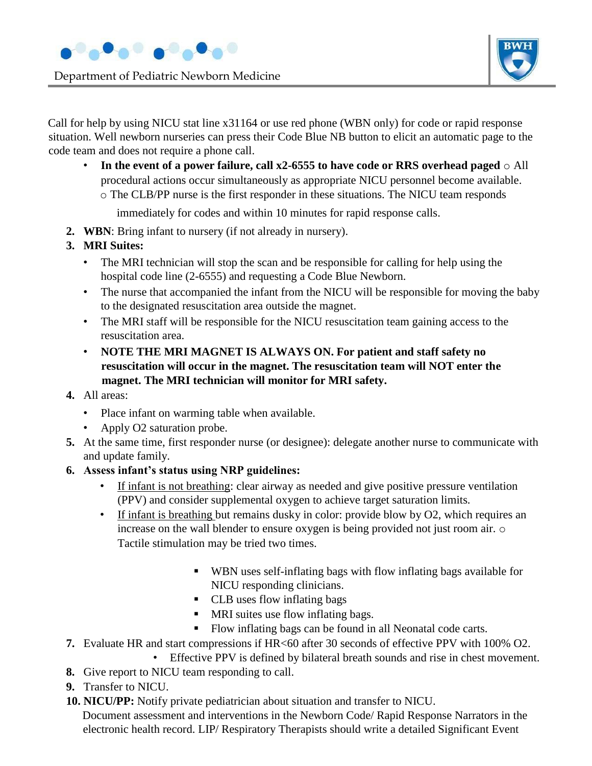

Department of Pediatric Newborn Medicine



Call for help by using NICU stat line x31164 or use red phone (WBN only) for code or rapid response situation. Well newborn nurseries can press their Code Blue NB button to elicit an automatic page to the code team and does not require a phone call.

- **In the event of a power failure, call x2-6555 to have code or RRS overhead paged** o All procedural actions occur simultaneously as appropriate NICU personnel become available.
	- o The CLB/PP nurse is the first responder in these situations. The NICU team responds

immediately for codes and within 10 minutes for rapid response calls.

- **2. WBN**: Bring infant to nursery (if not already in nursery).
- **3. MRI Suites:** 
	- The MRI technician will stop the scan and be responsible for calling for help using the hospital code line (2-6555) and requesting a Code Blue Newborn.
	- The nurse that accompanied the infant from the NICU will be responsible for moving the baby to the designated resuscitation area outside the magnet.
	- The MRI staff will be responsible for the NICU resuscitation team gaining access to the resuscitation area.
	- **NOTE THE MRI MAGNET IS ALWAYS ON. For patient and staff safety no resuscitation will occur in the magnet. The resuscitation team will NOT enter the magnet. The MRI technician will monitor for MRI safety.**
- **4.** All areas:
	- Place infant on warming table when available.
	- Apply O2 saturation probe.
- **5.** At the same time, first responder nurse (or designee): delegate another nurse to communicate with and update family.
- **6. Assess infant's status using NRP guidelines:** 
	- If infant is not breathing: clear airway as needed and give positive pressure ventilation (PPV) and consider supplemental oxygen to achieve target saturation limits.
	- If infant is breathing but remains dusky in color: provide blow by O2, which requires an increase on the wall blender to ensure oxygen is being provided not just room air. o Tactile stimulation may be tried two times.
		- WBN uses self-inflating bags with flow inflating bags available for NICU responding clinicians.
		- CLB uses flow inflating bags
		- MRI suites use flow inflating bags.
		- Flow inflating bags can be found in all Neonatal code carts.
- **7.** Evaluate HR and start compressions if HR<60 after 30 seconds of effective PPV with 100% O2.
	- Effective PPV is defined by bilateral breath sounds and rise in chest movement.
- **8.** Give report to NICU team responding to call.
- **9.** Transfer to NICU.
- **10. NICU/PP:** Notify private pediatrician about situation and transfer to NICU.

Document assessment and interventions in the Newborn Code/ Rapid Response Narrators in the electronic health record. LIP/ Respiratory Therapists should write a detailed Significant Event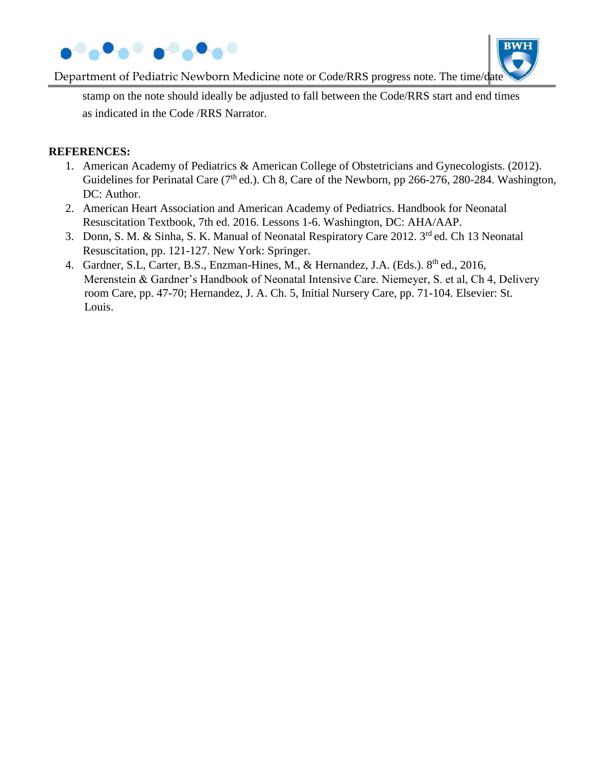



Department of Pediatric Newborn Medicine note or Code/RRS progress note. The time/date

stamp on the note should ideally be adjusted to fall between the Code/RRS start and end times as indicated in the Code /RRS Narrator.

#### **REFERENCES:**

- 1. American Academy of Pediatrics & American College of Obstetricians and Gynecologists. (2012). Guidelines for Perinatal Care ( $7<sup>th</sup>$  ed.). Ch 8, Care of the Newborn, pp 266-276, 280-284. Washington, DC: Author.
- 2. American Heart Association and American Academy of Pediatrics. Handbook for Neonatal Resuscitation Textbook, 7th ed. 2016. Lessons 1-6. Washington, DC: AHA/AAP.
- 3. Donn, S. M. & Sinha, S. K. Manual of Neonatal Respiratory Care 2012. 3<sup>rd</sup> ed. Ch 13 Neonatal Resuscitation, pp. 121-127. New York: Springer.
- 4. Gardner, S.L, Carter, B.S., Enzman-Hines, M., & Hernandez, J.A. (Eds.). 8<sup>th</sup> ed., 2016, Merenstein & Gardner's Handbook of Neonatal Intensive Care. Niemeyer, S. et al, Ch 4, Delivery room Care, pp. 47-70; Hernandez, J. A. Ch. 5, Initial Nursery Care, pp. 71-104. Elsevier: St. Louis.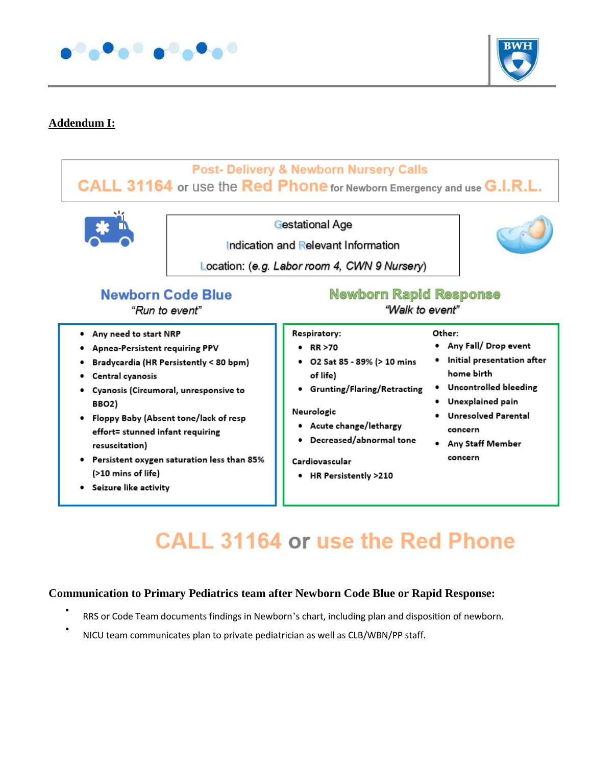



#### **Addendum I:**

### **Post- Delivery & Newborn Nursery Calls** CALL 31164 or use the Red Phone for Newborn Emergency and use G.I.R.L.



**Gestational Age** 

Indication and Relevant Information



Location: (e.g. Labor room 4, CWN 9 Nursery)

## **Newborn Code Blue**

"Run to event"

- . Any need to start NRP
- Apnea-Persistent requiring PPV
- Bradycardia (HR Persistently < 80 bpm)
- Central cyanosis
- · Cyanosis (Circumoral, unresponsive to BBO2)
- Floppy Baby (Absent tone/lack of resp effort= stunned infant requiring resuscitation)
- Persistent oxygen saturation less than 85% (>10 mins of life)
- · Seizure like activity

**Newborn Rapid Response** 

"Walk to event"

Other:

- Respiratory:
- $\cdot$  RR >70
- 02 Sat 85 89% (> 10 mins of life)
- **•** Grunting/Flaring/Retracting

#### Neurologic

- Acute change/lethargy
- Decreased/abnormal tone

Cardiovascular

• HR Persistently >210

#### • Any Fall/ Drop event

- · Initial presentation after home birth
- · Uncontrolled bleeding
- · Unexplained pain
- · Unresolved Parental concern
- Any Staff Member concern

## **CALL 31164 or use the Red Phone**

#### **Communication to Primary Pediatrics team after Newborn Code Blue or Rapid Response:**

- RRS or Code Team documents findings in Newborn's chart, including plan and disposition of newborn.
- NICU team communicates plan to private pediatrician as well as CLB/WBN/PP staff.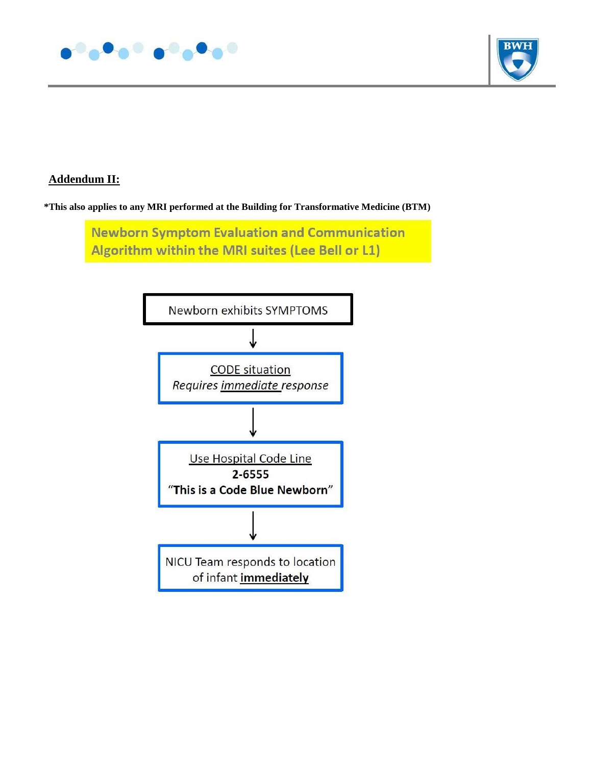



#### **Addendum II:**

**\*This also applies to any MRI performed at the Building for Transformative Medicine (BTM)**

**Newborn Symptom Evaluation and Communication** Algorithm within the MRI suites (Lee Bell or L1)